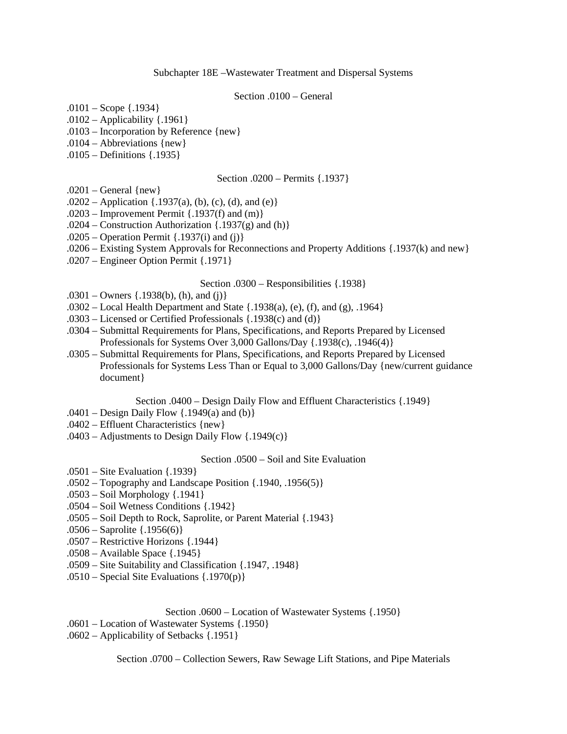### Subchapter 18E –Wastewater Treatment and Dispersal Systems

### Section .0100 – General

 $.0101 - \text{Scope } \{.1934\}$ 

- .0102 Applicability {.1961}
- .0103 Incorporation by Reference {new}
- .0104 Abbreviations {new}
- .0105 Definitions {.1935}

#### Section .0200 – Permits {.1937}

- $.0201$  General {new}
- .0202 Application  $\{.1937(a), (b), (c), (d), \text{ and } (e)\}$
- .0203 Improvement Permit  $\{.1937(f) \text{ and } (m)\}$
- .0204 Construction Authorization  $\{.1937(g) \text{ and } (h)\}$
- $.0205$  Operation Permit {.1937(i) and (j)}
- .0206 Existing System Approvals for Reconnections and Property Additions {.1937(k) and new}
- .0207 Engineer Option Permit {.1971}

### Section .0300 – Responsibilities {.1938}

- $.0301 -$ Owners {.1938(b), (h), and (j)}
- $.0302 Local Health Department and State {.1938(a), (e), (f), and (g), .1964}$
- .0303 Licensed or Certified Professionals {.1938(c) and (d)}
- .0304 Submittal Requirements for Plans, Specifications, and Reports Prepared by Licensed Professionals for Systems Over 3,000 Gallons/Day {.1938(c), .1946(4)}
- .0305 Submittal Requirements for Plans, Specifications, and Reports Prepared by Licensed Professionals for Systems Less Than or Equal to 3,000 Gallons/Day {new/current guidance document}

Section .0400 – Design Daily Flow and Effluent Characteristics {.1949}

- .0401 Design Daily Flow {.1949(a) and (b)}
- .0402 Effluent Characteristics {new}
- $.0403$  Adjustments to Design Daily Flow  $\{.1949(c)\}\$

### Section .0500 – Soil and Site Evaluation

- .0501 Site Evaluation {.1939}
- .0502 Topography and Landscape Position {.1940, .1956(5)}
- .0503 Soil Morphology {.1941}
- .0504 Soil Wetness Conditions {.1942}
- .0505 Soil Depth to Rock, Saprolite, or Parent Material {.1943}
- .0506 Saprolite {.1956(6)}
- .0507 Restrictive Horizons {.1944}
- .0508 Available Space {.1945}
- .0509 Site Suitability and Classification {.1947, .1948}
- .0510 Special Site Evaluations {.1970(p)}

Section .0600 – Location of Wastewater Systems {.1950}

- .0601 Location of Wastewater Systems {.1950}
- .0602 Applicability of Setbacks {.1951}

Section .0700 – Collection Sewers, Raw Sewage Lift Stations, and Pipe Materials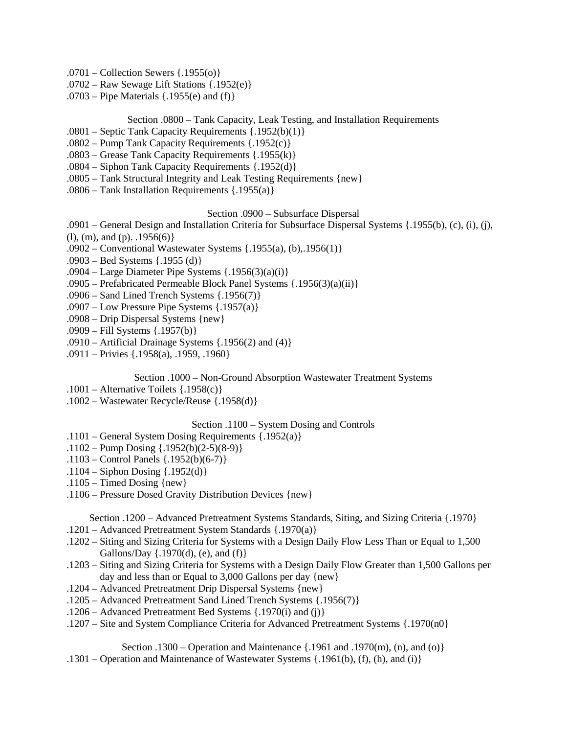- .0701 Collection Sewers {.1955(o)}
- .0702 Raw Sewage Lift Stations {.1952(e)}
- .0703 Pipe Materials {.1955(e) and (f)}

# Section .0800 – Tank Capacity, Leak Testing, and Installation Requirements

- .0801 Septic Tank Capacity Requirements {.1952(b)(1)}
- .0802 Pump Tank Capacity Requirements {.1952(c)}
- .0803 Grease Tank Capacity Requirements {.1955(k)}
- .0804 Siphon Tank Capacity Requirements {.1952(d)}
- .0805 Tank Structural Integrity and Leak Testing Requirements {new}
- .0806 Tank Installation Requirements {.1955(a)}

## Section .0900 – Subsurface Dispersal

- .0901 General Design and Installation Criteria for Subsurface Dispersal Systems {.1955(b), (c), (i), (j),
- $(l)$ , (m), and (p). .1956(6) }
- .0902 Conventional Wastewater Systems {.1955(a), (b),.1956(1)}
- .0903 Bed Systems {.1955 (d)}
- .0904 Large Diameter Pipe Systems  $\{.1956(3)(a)(i)\}$
- .0905 Prefabricated Permeable Block Panel Systems {.1956(3)(a)(ii)}
- .0906 Sand Lined Trench Systems {.1956(7)}
- .0907 Low Pressure Pipe Systems {.1957(a)}
- .0908 Drip Dispersal Systems {new}
- .0909 Fill Systems {.1957(b)}
- .0910 Artificial Drainage Systems  $\{.1956(2) \text{ and } (4)\}$
- .0911 Privies {.1958(a), .1959, .1960}

## Section .1000 – Non-Ground Absorption Wastewater Treatment Systems

- $.1001$  Alternative Toilets  $\{.1958(c)\}$
- .1002 Wastewater Recycle/Reuse {.1958(d)}

## Section .1100 – System Dosing and Controls

- .1101 General System Dosing Requirements {.1952(a)}
- .1102 Pump Dosing {.1952(b)(2-5)(8-9)}
- .1103 Control Panels {.1952(b)(6-7)}
- .1104 Siphon Dosing {.1952(d)}
- $.1105$  Timed Dosing {new}
- .1106 Pressure Dosed Gravity Distribution Devices {new}

Section .1200 – Advanced Pretreatment Systems Standards, Siting, and Sizing Criteria {.1970}

- .1201 Advanced Pretreatment System Standards {.1970(a)}
- .1202 Siting and Sizing Criteria for Systems with a Design Daily Flow Less Than or Equal to 1,500 Gallons/Day  $\{.1970(d), (e), \text{ and } (f) \}$
- .1203 Siting and Sizing Criteria for Systems with a Design Daily Flow Greater than 1,500 Gallons per day and less than or Equal to 3,000 Gallons per day {new}
- .1204 Advanced Pretreatment Drip Dispersal Systems {new}
- .1205 Advanced Pretreatment Sand Lined Trench Systems {.1956(7)}
- .1206 Advanced Pretreatment Bed Systems {.1970(i) and (j)}
- .1207 Site and System Compliance Criteria for Advanced Pretreatment Systems {.1970(n0}

# Section .1300 – Operation and Maintenance  $\{.1961 \text{ and } .1970(m), (n), \text{ and } (o)\}$

.1301 – Operation and Maintenance of Wastewater Systems {.1961(b), (f), (h), and (i)}